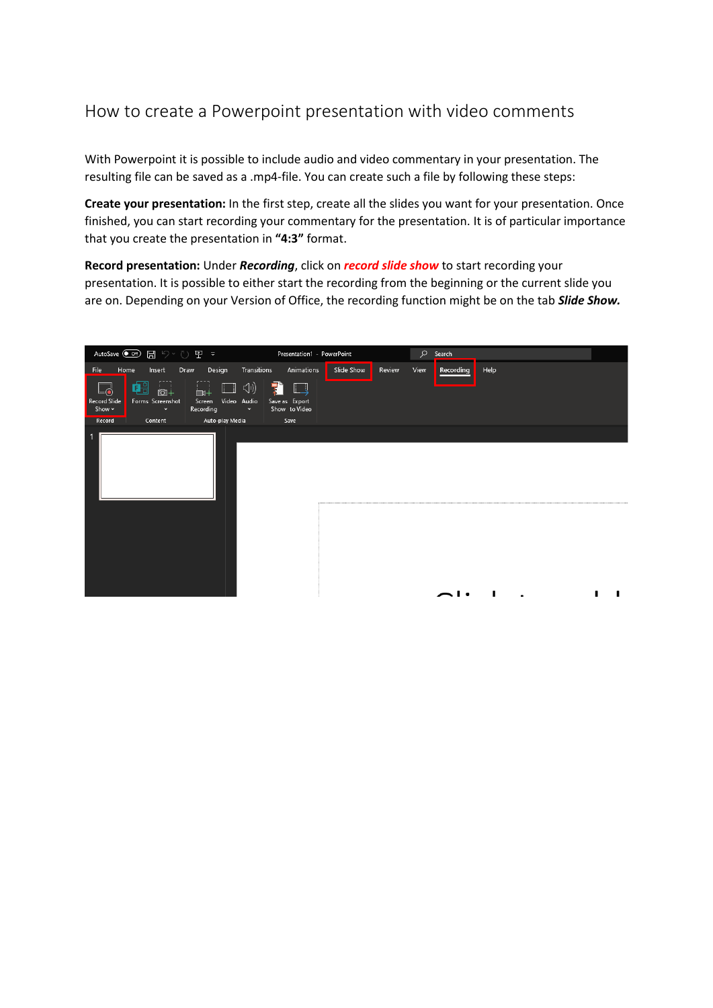## How to create a Powerpoint presentation with video comments

With Powerpoint it is possible to include audio and video commentary in your presentation. The resulting file can be saved as a .mp4-file. You can create such a file by following these steps:

**Create your presentation:** In the first step, create all the slides you want for your presentation. Once finished, you can start recording your commentary for the presentation. It is of particular importance that you create the presentation in **"4:3"** format.

**Record presentation:** Under *Recording*, click on *record slide show* to start recording your presentation. It is possible to either start the recording from the beginning or the current slide you are on. Depending on your Version of Office, the recording function might be on the tab *Slide Show.*

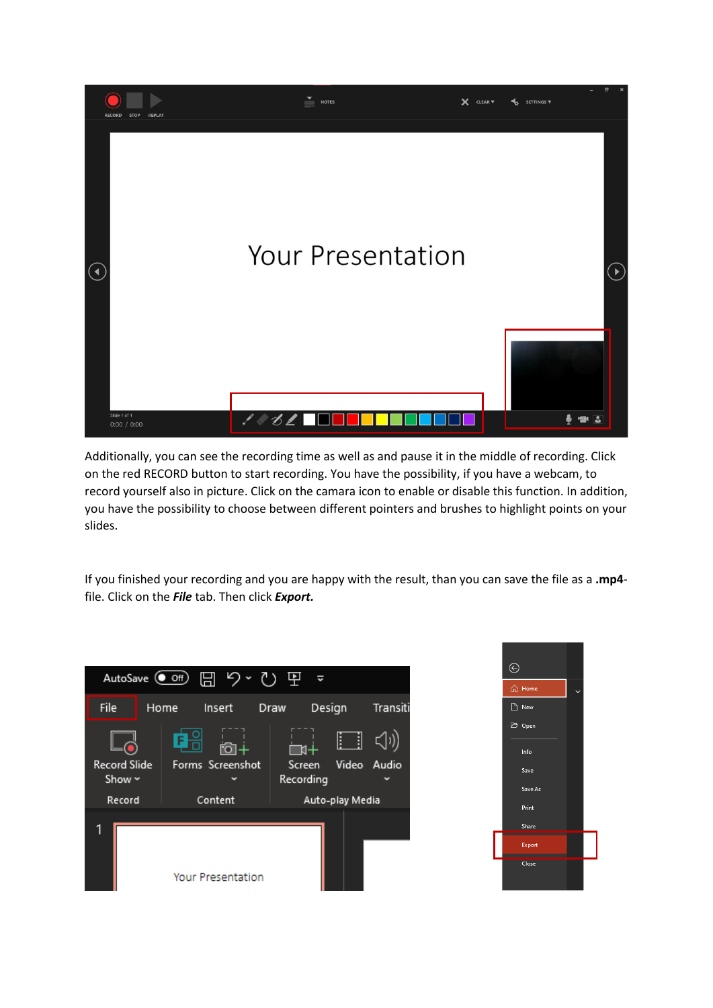

Additionally, you can see the recording time as well as and pause it in the middle of recording. Click on the red RECORD button to start recording. You have the possibility, if you have a webcam, to record yourself also in picture. Click on the camara icon to enable or disable this function. In addition, you have the possibility to choose between different pointers and brushes to highlight points on your slides.

If you finished your recording and you are happy with the result, than you can save the file as a **.mp4** file. Click on the *File* tab. Then click *Export.*



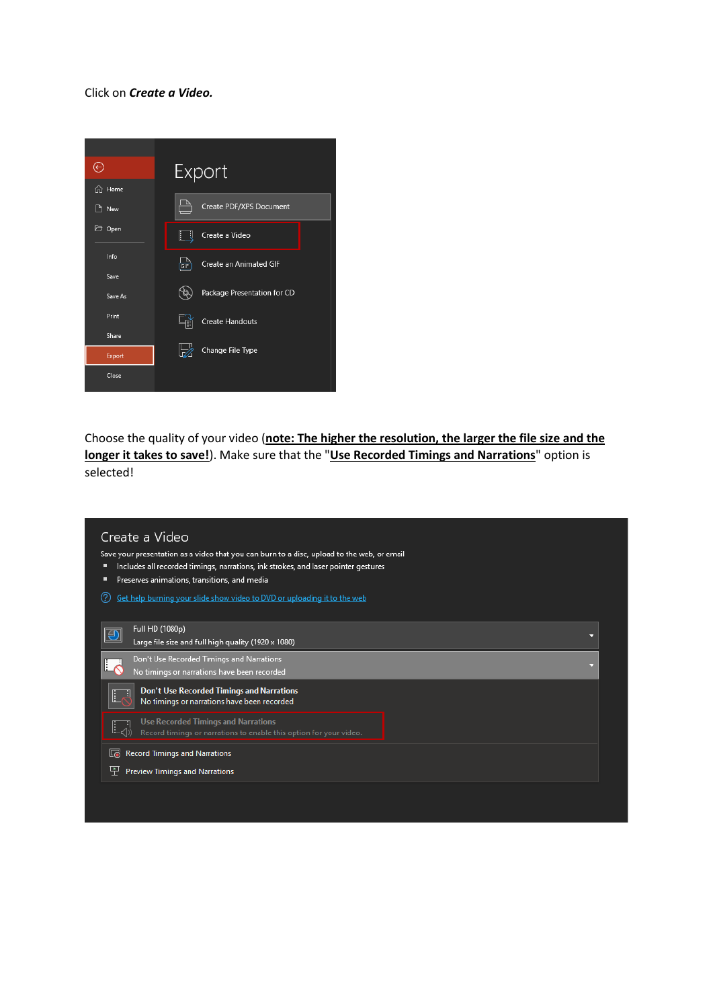Click on *Create a Video.* 



Choose the quality of your video (**note: The higher the resolution, the larger the file size and the longer it takes to save!**). Make sure that the "**Use Recorded Timings and Narrations**" option is selected!

| Full HD (1080p)<br> ⊕<br>□<br>Large file size and full high quality (1920 x 1080)<br>Don't Use Recorded Timings and Narrations<br>No timings or narrations have been recorded<br><b>Don't Use Recorded Timings and Narrations</b><br>L<br>Ħ<br>No timings or narrations have been recorded<br><b>Use Recorded Timings and Narrations</b><br>Record timings or narrations to enable this option for your video.<br><b>Record Timings and Narrations</b><br>G<br>Preview Timings and Narrations<br>뿌 | Create a Video<br>Save your presentation as a video that you can burn to a disc, upload to the web, or email<br>Includes all recorded timings, narrations, ink strokes, and laser pointer gestures<br>Preserves animations, transitions, and media<br>п<br>$\left( 2\right)$<br>Get help burning your slide show video to DVD or uploading it to the web |  |
|----------------------------------------------------------------------------------------------------------------------------------------------------------------------------------------------------------------------------------------------------------------------------------------------------------------------------------------------------------------------------------------------------------------------------------------------------------------------------------------------------|----------------------------------------------------------------------------------------------------------------------------------------------------------------------------------------------------------------------------------------------------------------------------------------------------------------------------------------------------------|--|
|                                                                                                                                                                                                                                                                                                                                                                                                                                                                                                    |                                                                                                                                                                                                                                                                                                                                                          |  |
|                                                                                                                                                                                                                                                                                                                                                                                                                                                                                                    |                                                                                                                                                                                                                                                                                                                                                          |  |
|                                                                                                                                                                                                                                                                                                                                                                                                                                                                                                    |                                                                                                                                                                                                                                                                                                                                                          |  |
|                                                                                                                                                                                                                                                                                                                                                                                                                                                                                                    |                                                                                                                                                                                                                                                                                                                                                          |  |
|                                                                                                                                                                                                                                                                                                                                                                                                                                                                                                    |                                                                                                                                                                                                                                                                                                                                                          |  |
|                                                                                                                                                                                                                                                                                                                                                                                                                                                                                                    |                                                                                                                                                                                                                                                                                                                                                          |  |